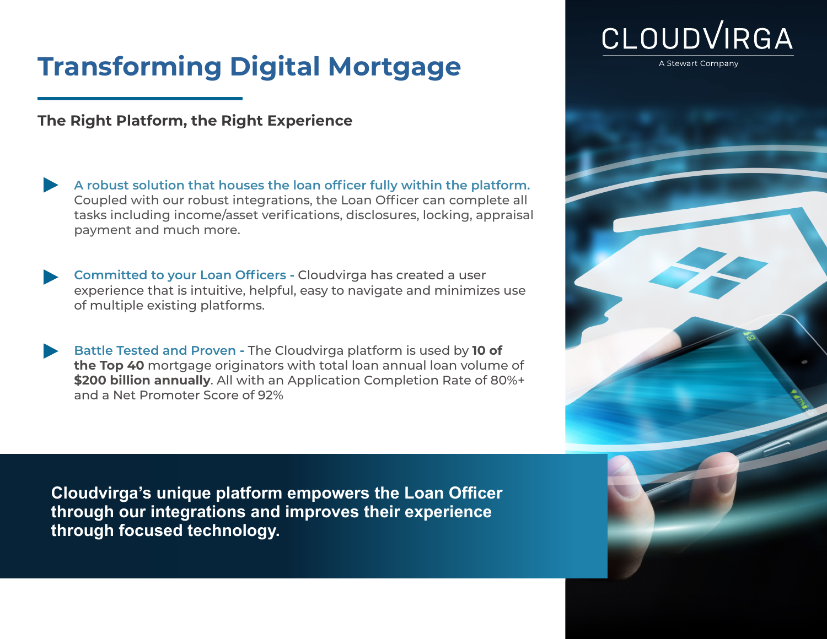# **Transforming Digital Mortgage**

### **The Right Platform, the Right Experience**

- **A robust solution that houses the loan officer fully within the platform.**  Coupled with our robust integrations, the Loan Officer can complete all tasks including income/asset verifications, disclosures, locking, appraisal payment and much more.
- **Committed to your Loan Officers -** Cloudvirga has created a user experience that is intuitive, helpful, easy to navigate and minimizes use of multiple existing platforms.
	- **Battle Tested and Proven -** The Cloudvirga platform is used by **10 of the Top 40** mortgage originators with total loan annual loan volume of **\$200 billion annually**. All with an Application Completion Rate of 80%+ and a Net Promoter Score of 92%

**Cloudvirga's unique platform empowers the Loan Officer through our integrations and improves their experience through focused technology.**



A Stewart Company